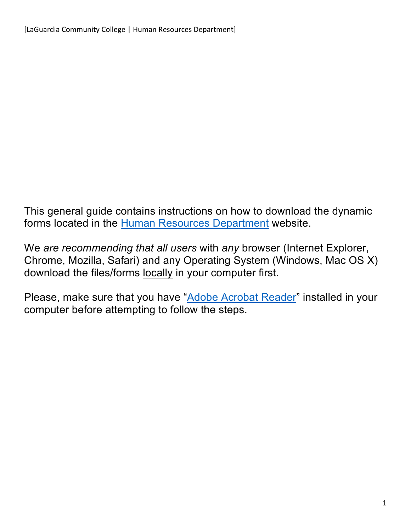This general guide contains instructions on how to download the dynamic forms located in the Human Resources Department website.

We *are recommending that all users* with *any* browser (Internet Explorer, Chrome, Mozilla, Safari) and any Operating System (Windows, Mac OS X) download the files/forms locally in your computer first.

Please, make sure that you have "Adobe Acrobat Reader" installed in your computer before attempting to follow the steps.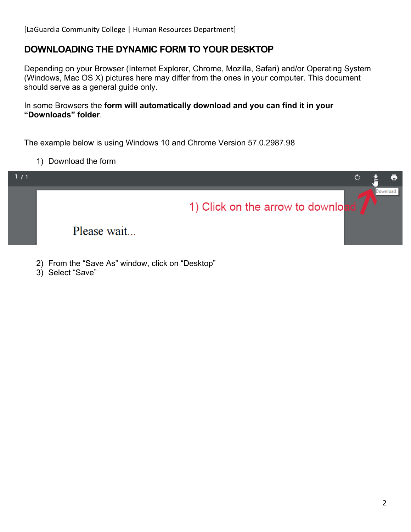## **DOWNLOADING THE DYNAMIC FORM TO YOUR DESKTOP**

Depending on your Browser (Internet Explorer, Chrome, Mozilla, Safari) and/or Operating System (Windows, Mac OS X) pictures here may differ from the ones in your computer. This document should serve as a general guide only.

In some Browsers the **form will automatically download and you can find it in your "Downloads" folder**.

The example below is using Windows 10 and Chrome Version 57.0.2987.98

1) Download the form



2) From the "Save As" window, click on "Desktop"

3) Select "Save"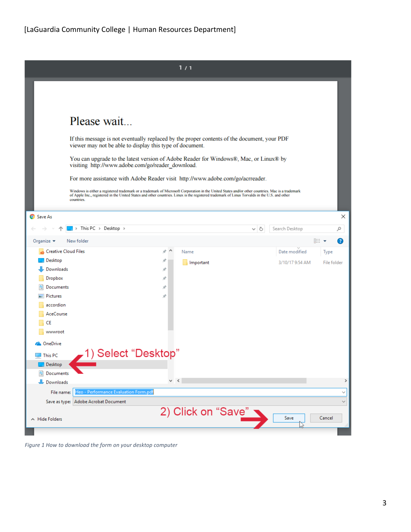|                                                                                                                                                                                                                                                                                                                 |   | 1/1                |     |                 |             |              |
|-----------------------------------------------------------------------------------------------------------------------------------------------------------------------------------------------------------------------------------------------------------------------------------------------------------------|---|--------------------|-----|-----------------|-------------|--------------|
|                                                                                                                                                                                                                                                                                                                 |   |                    |     |                 |             |              |
| Please wait                                                                                                                                                                                                                                                                                                     |   |                    |     |                 |             |              |
| If this message is not eventually replaced by the proper contents of the document, your PDF<br>viewer may not be able to display this type of document.                                                                                                                                                         |   |                    |     |                 |             |              |
| You can upgrade to the latest version of Adobe Reader for Windows®, Mac, or Linux® by<br>visiting http://www.adobe.com/go/reader_download.                                                                                                                                                                      |   |                    |     |                 |             |              |
| For more assistance with Adobe Reader visit http://www.adobe.com/go/acrreader.                                                                                                                                                                                                                                  |   |                    |     |                 |             |              |
| Windows is either a registered trademark or a trademark of Microsoft Corporation in the United States and/or other countries. Mac is a trademark<br>of Apple Inc., registered in the United States and other countries. Linux is the registered trademark of Linus Torvalds in the U.S. and other<br>countries. |   |                    |     |                 |             |              |
| Save As                                                                                                                                                                                                                                                                                                         |   |                    |     |                 |             | ×            |
| > This PC > Desktop >                                                                                                                                                                                                                                                                                           |   |                    | ∾ ⊍ | Search Desktop  |             | مر           |
| Organize $\blacktriangledown$<br>New folder                                                                                                                                                                                                                                                                     |   |                    |     |                 | BEE Y       | Ø            |
| <b>Creative Cloud Files</b>                                                                                                                                                                                                                                                                                     | À | Name               |     | Date modified   | Type        |              |
| Desktop                                                                                                                                                                                                                                                                                                         |   | Important          |     | 3/10/17 9:54 AM | File folder |              |
| Downloads                                                                                                                                                                                                                                                                                                       | Å |                    |     |                 |             |              |
| Dropbox                                                                                                                                                                                                                                                                                                         | À |                    |     |                 |             |              |
| Documents                                                                                                                                                                                                                                                                                                       | À |                    |     |                 |             |              |
| Pictures                                                                                                                                                                                                                                                                                                        | À |                    |     |                 |             |              |
| accordion                                                                                                                                                                                                                                                                                                       |   |                    |     |                 |             |              |
| AceCourse                                                                                                                                                                                                                                                                                                       |   |                    |     |                 |             |              |
| CE<br>wwwroot                                                                                                                                                                                                                                                                                                   |   |                    |     |                 |             |              |
|                                                                                                                                                                                                                                                                                                                 |   |                    |     |                 |             |              |
| <b>ConeDrive</b>                                                                                                                                                                                                                                                                                                |   |                    |     |                 |             |              |
| <b>-1) Select "Desktop"</b><br>This PC                                                                                                                                                                                                                                                                          |   |                    |     |                 |             |              |
| Desktop                                                                                                                                                                                                                                                                                                         |   |                    |     |                 |             |              |
| Documents                                                                                                                                                                                                                                                                                                       |   |                    |     |                 |             |              |
| Downloads                                                                                                                                                                                                                                                                                                       |   | $\vee$ $\leq$      |     |                 |             | $\,>\,$      |
| Heo - Performance Evaluation Form.pdf<br>File name:                                                                                                                                                                                                                                                             |   |                    |     |                 |             | $\checkmark$ |
| Save as type: Adobe Acrobat Document                                                                                                                                                                                                                                                                            |   |                    |     |                 |             |              |
| A Hide Folders                                                                                                                                                                                                                                                                                                  |   | 2) Click on "Save" |     | Save            | Cancel      |              |
|                                                                                                                                                                                                                                                                                                                 |   |                    |     |                 |             |              |

*Figure 1 How to download the form on your desktop computer*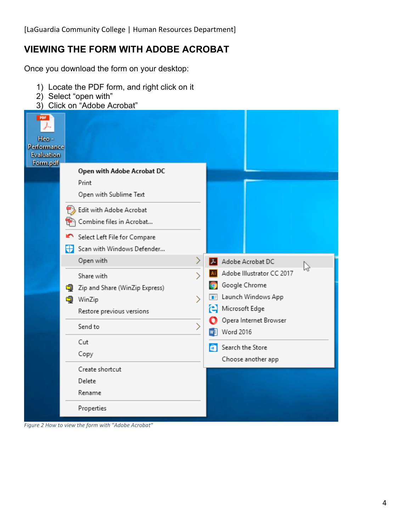## **VIEWING THE FORM WITH ADOBE ACROBAT**

Once you download the form on your desktop:

- 1) Locate the PDF form, and right click on it
- 2) Select "open with"
- 3) Click on "Adobe Acrobat"

| <b>PDF</b><br>Heo -<br>Performance<br><b>Evaluation</b><br>Form.pdf | Open with Adobe Acrobat DC                                                                                                                                                |                                                                |                                                                                                                                                                                                                     |
|---------------------------------------------------------------------|---------------------------------------------------------------------------------------------------------------------------------------------------------------------------|----------------------------------------------------------------|---------------------------------------------------------------------------------------------------------------------------------------------------------------------------------------------------------------------|
|                                                                     | Print<br>Open with Sublime Text<br>Edit with Adobe Acrobat<br>Combine files in Acrobat<br>Select Left File for Compare<br>$\leftarrow$ Scan with Windows Defender         |                                                                |                                                                                                                                                                                                                     |
|                                                                     | Open with<br>Share with<br>q<br>Zip and Share (WinZip Express)<br>to WinZip<br>Restore previous versions<br>Send to<br>Cut<br>Copy<br>Create shortcut<br>Delete<br>Rename | ≻<br>$\overline{\phantom{1}}$<br>⋋<br>$\overline{\phantom{1}}$ | Adobe Acrobat DC<br>ピ<br>Adobe Illustrator CC 2017<br>Google Chrome<br>Launch Windows App<br>$\blacksquare$<br>Microsoft Edge<br>Opera Internet Browser<br>Word 2016<br>Search the Store<br>ā<br>Choose another app |
|                                                                     | Properties                                                                                                                                                                |                                                                |                                                                                                                                                                                                                     |

*Figure 2 How to view the form with "Adobe Acrobat"*